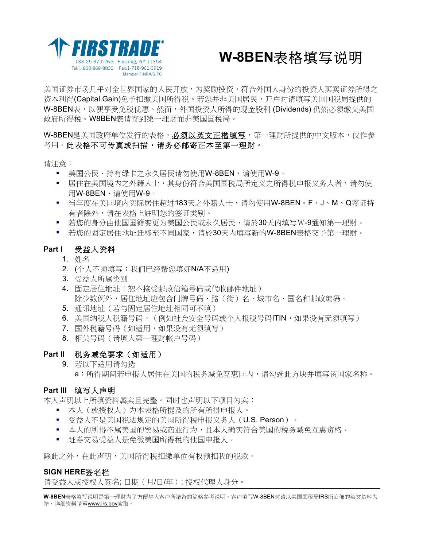

# **W-8BEN**表格填写说明

美国证券市场几乎对全世界国家的人民开放,为奖励投资,符合外国人身份的投资人买卖证券所得之 资本利得(Capital Gain)免予扣缴美国所得税。若您并非美国居民,开户时请填写美国国税局提供的 W-8BEN表,以便享受免税优惠。然而,外国投资人所得的现金股利 (Dividends) 仍然必须缴交美国 政府所得税。W8BEN表请寄到第一理财而非美国国税局。

W-8BEN是美国政府单位发行的表格,<u>必须以英文正楷填写</u>,第一理财所提供的中文版本,仅作参 考用。此表格不可传真或扫描,请务必邮寄正本至第一理财。

请注意:

- 美国公民、持有绿卡之永久居民请勿使用W-8BEN,请使用W-9。
- 居住在美国境内之外籍人士,其身份符合美国国税局所定义之所得税申报义务人者,请勿使 用W-8BEN,请使用W-9。
- 当年度在美国境内实际居住超过183天之外籍人士,请勿使用W-8BEN。F、J、M、Q签证持 有者除外,请在表格上註明您的签证类别。
- 若您的身分由他国国籍变更为美国公民或永久居民,请於30天内填写W-9通知第一理财。
- 若您的固定居住地址迁移至不同国家,请於30天内填写新的W-8BEN表格交予第一理财。

### **Part I** 受益人资料

- 1. 姓名
- 2. (个人不须填写;我们已经帮您填好N/A不适用)
- 3. 受益人所属类别
- 4. 固定居住地址﹝恕不接受邮政信箱号码或代收邮件地址) 除少数例外,居住地址应包含门牌号码、路(街)名、城市名、国名和邮政编码。
- 5. 通讯地址(若与固定居住地址相同可不填)
- 6. 美国纳税人税籍号码。(例如社会安全号码或个人报税号码ITIN,如果没有无须填写)
- 7. 国外税籍号码(如适用,如果没有无须填写)
- 8. 相关号码(请填入第一理财帐户号码)

## **Part II** 税务减免要求(如适用)

9. 若以下适用请勾选 a:所得期间若申报人居住在美国的税务减免互惠国内,请勾选此方块并填写该国家名称。

## **Part III** 填写人声明

本人声明以上所填资料属实且完整。同时也声明以下项目为实:

- 本人(或授权人)为本表格所提及的所有所得申报人。
- 受益人不是美国税法规定的美国所得税申报义务人(U.S. Person)。
- 本人的所得不属美国的贸易或商业行为,且本人确实符合美国的税务减免互惠资格。
- 证券交易受益人是免徵美国所得税的他国申报人。

除此之外,在此声明,美国所得税扣缴单位有权预扣我的税款。

## **SIGN HERE**签名栏

请受益人或授权人签名; 日期(月/日/年); 授权代理人身分。

**W-8BEN**表格填写说明是第一理财为了方便华人客户所準备的简略参考说明。客户填写W-8BEN时请以美国国税局IRS所公佈的英文资料为 準,详细资料请至www.irs.gov索取。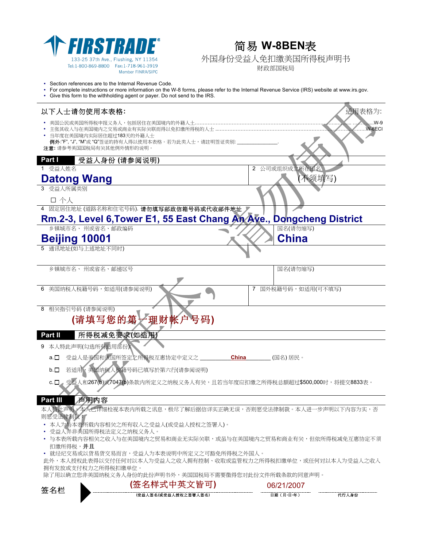

# 简易 **W-8BEN**表

外国身份受益人免扣缴美国所得税声明书

财政部国税局

- Section references are to the Internal Revenue Code.
- For complete instructions or more information on the W-8 forms, please refer to the Internal Revenue Service (IRS) website at www.irs.gov.
- Give this form to the withholding agent or payer. Do not send to the IRS.

| 以下人士请勿使用本表格:                                                                                               | 适用表格为:             |
|------------------------------------------------------------------------------------------------------------|--------------------|
| 美国公民或美国所得税申报义务人,包括居住在美国境内的外籍人土                                                                             | W-9<br>W-8ECI      |
| 当年度在美国境内实际居住超过183天的外籍人士                                                                                    |                    |
| <b>例外:"F", "J", "M"</b> 或 "Q"签证的持有人得以使用本表格。若为此类人士,请註明签证类别: __________<br>注意:请参考美国国税局有关其他例外情形的说明。           |                    |
| Part I<br>受益人身份 (请参阅说明)                                                                                    |                    |
| 1 受益人姓名                                                                                                    | 2 公司或组织成立所在国名      |
| <b>Datong Wang</b><br>3 受益人所属类别                                                                            | (不须填写)             |
|                                                                                                            |                    |
| 口 个人<br>4 固定居住地址(道路名称和住宅号码). 请勿填写邮政信箱号码或代收邮件地址                                                             |                    |
| Rm.2-3, Level 6, Tower E1, 55 East Chang An Ave., Dongcheng District                                       |                    |
| 乡镇城市名、州或省名、邮政编码                                                                                            | 国名(请勿缩写)           |
| <b>Beijing 10001</b>                                                                                       | <b>China</b>       |
| 5 通讯地址(如与上述地址不同时)                                                                                          |                    |
| 乡镇城市名、州或省名、邮递区号                                                                                            | 国名(请勿缩写)           |
|                                                                                                            |                    |
| 6 美国纳税人税籍号码,如适用(请参阅说明)                                                                                     | 7 国外税籍号码,如适用(可不填写) |
| 8 相关指引号码 (请参阅说明)<br>(请填写您的第一理财帐户号码)                                                                        |                    |
|                                                                                                            |                    |
| 所得税减免要求(如适用)<br>Part II                                                                                    |                    |
| 9 本人特此声明(勾选所有适用部份)                                                                                         |                    |
| 受益人是美国和该国所签定之所得税互惠协定中定义之 _______________China _________(国名) 居民。<br>а.⊟                                     |                    |
| 若适用, 美国纳税人税籍号码已填写於第六行(请参阅说明)<br>$b.\Box$                                                                   |                    |
| c.口, 受益人和267(b)或7047(b)条款内所定义之纳税义务人有关,且若当年度应扣缴之所得税总额超过\$500,000时,将提交8833表。                                 |                    |
| Part III<br>声明内容                                                                                           |                    |
| 本人 <b>猜此声嗎,本人已详</b> 细检视本表内所载之讯息,极尽了解后据信详实正确无误,否则愿受法律制裁。本人进一步声明以下内容为实,否<br>则愿受法律制裁:                         |                    |
| • 本人为与本表所载内容相关之所有収入之受益人(或受益人授权之签署人)。                                                                       |                    |
| 受益人并非美国所得税法定义之纳税义务人。                                                                                       |                    |
| • 与本表所载内容相关之收入与在美国境内之贸易和商业无实际关联,或虽与在美国境内之贸易和商业有关,但依所得税减免互惠协定不须<br>扣缴所得税,并且                                 |                    |
| • 就经纪交易或以货易货交易而言,受益人为本表说明中所定义之可豁免所得税之外国人。<br>此外,本人授权此表得以交付任何对以本人为受益人之收入拥有控制、收取或监管权力之所得税扣缴单位,或任何对以本人为受益人之收入 |                    |
| 拥有发放或支付权力之所得税扣缴单位。                                                                                         |                    |
| 除了用以确立您非美国纳税义务人身份的此份声明书外,美国国税局不需要徵得您对此份文件所载条款的同意声明。                                                        |                    |
| (签名样式中英文皆可)<br>签名栏                                                                                         | 06/21/2007         |
| (受益人签名(或受益人授权之签署人签名)                                                                                       | 日期(月-日-年)<br>代行人身份 |